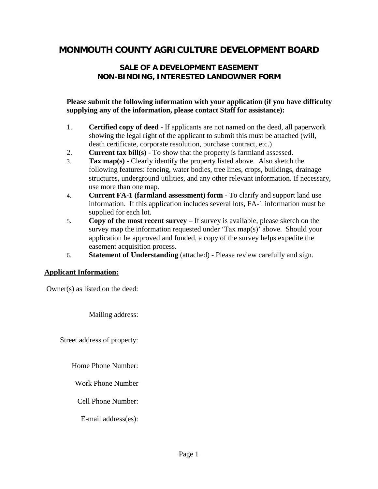# **MONMOUTH COUNTY AGRICULTURE DEVELOPMENT BOARD**

# **SALE OF A DEVELOPMENT EASEMENT NON-BINDING, INTERESTED LANDOWNER FORM**

#### **Please submit the following information with your application (if you have difficulty supplying any of the information, please contact Staff for assistance):**

- 1. **Certified copy of deed**  If applicants are not named on the deed, all paperwork showing the legal right of the applicant to submit this must be attached (will, death certificate, corporate resolution, purchase contract, etc.)
- 2. **Current tax bill(s)**  To show that the property is farmland assessed.
- 3. **Tax map(s)** Clearly identify the property listed above. Also sketch the following features: fencing, water bodies, tree lines, crops, buildings, drainage structures, underground utilities, and any other relevant information. If necessary, use more than one map.
- 4. **Current FA-1 (farmland assessment) form** To clarify and support land use information. If this application includes several lots, FA-1 information must be supplied for each lot.
- 5. **Copy of the most recent survey** If survey is available, please sketch on the survey map the information requested under 'Tax map(s)' above. Should your application be approved and funded, a copy of the survey helps expedite the easement acquisition process.
- 6. **Statement of Understanding** (attached) Please review carefully and sign.

#### **Applicant Information:**

Owner(s) as listed on the deed:

Mailing address:

Street address of property:

Home Phone Number:

Work Phone Number

Cell Phone Number:

E-mail address(es):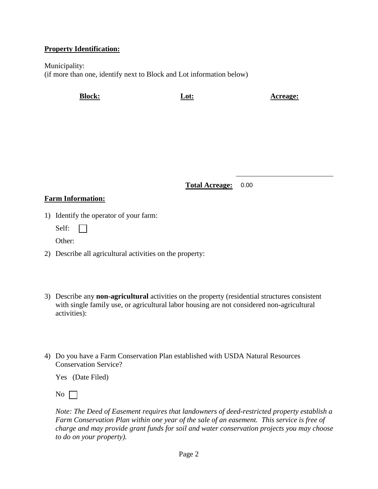### **Property Identification:**

Municipality: (if more than one, identify next to Block and Lot information below)

**Block: Lot: Acreage:**

**Total Acreage:** 0.00

## **Farm Information:**

- 1) Identify the operator of your farm:
	- Self: **TEMP**
	- Other:
- 2) Describe all agricultural activities on the property:
- 3) Describe any **non-agricultural** activities on the property (residential structures consistent with single family use, or agricultural labor housing are not considered non-agricultural activities):
- 4) Do you have a Farm Conservation Plan established with USDA Natural Resources Conservation Service?

Yes (Date Filed)

No  $\Box$ 

*Note: The Deed of Easement requires that landowners of deed-restricted property establish a Farm Conservation Plan within one year of the sale of an easement. This service is free of charge and may provide grant funds for soil and water conservation projects you may choose to do on your property).*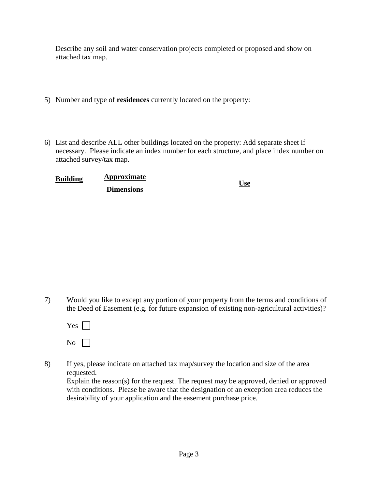Describe any soil and water conservation projects completed or proposed and show on attached tax map.

- 5) Number and type of **residences** currently located on the property:
- 6) List and describe ALL other buildings located on the property: Add separate sheet if necessary. Please indicate an index number for each structure, and place index number on attached survey/tax map.

| <b>Building</b> | Approximate       | <b>Use</b> |
|-----------------|-------------------|------------|
|                 | <b>Dimensions</b> |            |

7) Would you like to except any portion of your property from the terms and conditions of the Deed of Easement (e.g. for future expansion of existing non-agricultural activities)?

| Yes |  |
|-----|--|
| No  |  |

8) If yes, please indicate on attached tax map/survey the location and size of the area requested.

Explain the reason(s) for the request. The request may be approved, denied or approved with conditions. Please be aware that the designation of an exception area reduces the desirability of your application and the easement purchase price.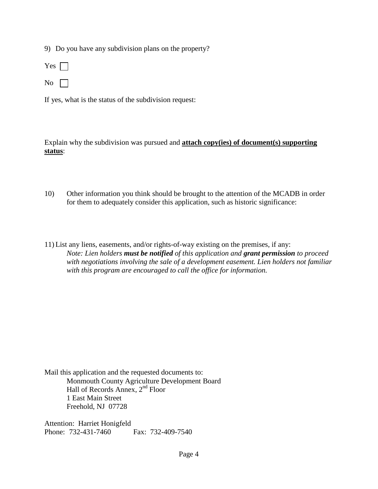9) Do you have any subdivision plans on the property?



 $\overline{N_0}$ 

If yes, what is the status of the subdivision request:

Explain why the subdivision was pursued and **attach copy(ies) of document(s) supporting status**:

- 10) Other information you think should be brought to the attention of the MCADB in order for them to adequately consider this application, such as historic significance:
- 11) List any liens, easements, and/or rights-of-way existing on the premises, if any: *Note: Lien holders must be notified of this application and grant permission to proceed with negotiations involving the sale of a development easement. Lien holders not familiar with this program are encouraged to call the office for information.*

Mail this application and the requested documents to: Monmouth County Agriculture Development Board Hall of Records Annex, 2nd Floor 1 East Main Street Freehold, NJ 07728

Attention: Harriet Honigfeld Phone: 732-431-7460 Fax: 732-409-7540